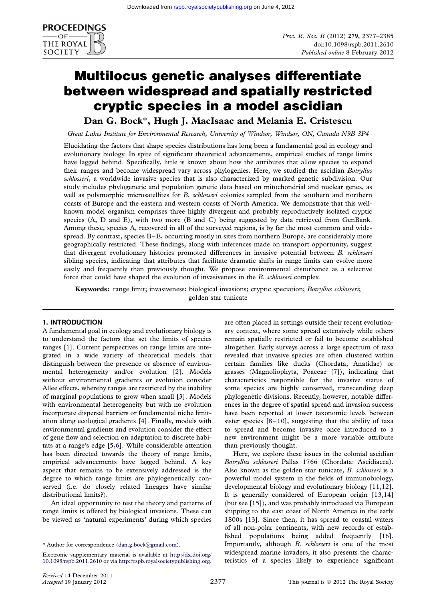

# Multilocus genetic analyses differentiate between widespread and spatially restricted cryptic species in a model ascidian

Dan G. Bock\*, Hugh J. MacIsaac and Melania E. Cristescu

Great Lakes Institute for Environmental Research, University of Windsor, Windsor, ON, Canada N9B 3P4

Elucidating the factors that shape species distributions has long been a fundamental goal in ecology and evolutionary biology. In spite of significant theoretical advancements, empirical studies of range limits have lagged behind. Specifically, little is known about how the attributes that allow species to expand their ranges and become widespread vary across phylogenies. Here, we studied the ascidian Botryllus schlosseri, a worldwide invasive species that is also characterized by marked genetic subdivision. Our study includes phylogenetic and population genetic data based on mitochondrial and nuclear genes, as well as polymorphic microsatellites for B. schlosseri colonies sampled from the southern and northern coasts of Europe and the eastern and western coasts of North America. We demonstrate that this wellknown model organism comprises three highly divergent and probably reproductively isolated cryptic species (A, D and E), with two more (B and C) being suggested by data retrieved from GenBank. Among these, species A, recovered in all of the surveyed regions, is by far the most common and widespread. By contrast, species B-E, occurring mostly in sites from northern Europe, are considerably more geographically restricted. These findings, along with inferences made on transport opportunity, suggest that divergent evolutionary histories promoted differences in invasive potential between B. schlosseri sibling species, indicating that attributes that facilitate dramatic shifts in range limits can evolve more easily and frequently than previously thought. We propose environmental disturbance as a selective force that could have shaped the evolution of invasiveness in the B. schlosseri complex.

Keywords: range limit; invasiveness; biological invasions; cryptic speciation; Botryllus schlosseri; golden star tunicate

## 1. INTRODUCTION

A fundamental goal in ecology and evolutionary biology is to understand the factors that set the limits of species ranges [[1\]](#page-6-0). Current perspectives on range limits are integrated in a wide variety of theoretical models that distinguish between the presence or absence of environmental heterogeneity and/or evolution [[2\]](#page-6-0). Models without environmental gradients or evolution consider Allee effects, whereby ranges are restricted by the inability of marginal populations to grow when small [[3\]](#page-6-0). Models with environmental heterogeneity but with no evolution incorporate dispersal barriers or fundamental niche limitation along ecological gradients [\[4\]](#page-6-0). Finally, models with environmental gradients and evolution consider the effect of gene flow and selection on adaptation to discrete habitats at a range's edge [[5](#page-6-0),[6](#page-6-0)]. While considerable attention has been directed towards the theory of range limits, empirical advancements have lagged behind. A key aspect that remains to be extensively addressed is the degree to which range limits are phylogenetically conserved (i.e. do closely related lineages have similar distributional limits?).

An ideal opportunity to test the theory and patterns of range limits is offered by biological invasions. These can be viewed as 'natural experiments' during which species are often placed in settings outside their recent evolutionary context, where some spread extensively while others remain spatially restricted or fail to become established altogether. Early surveys across a large spectrum of taxa revealed that invasive species are often clustered within certain families like ducks (Chordata, Anatidae) or grasses (Magnoliophyta, Poaceae [\[7](#page-6-0)]), indicating that characteristics responsible for the invasive status of some species are highly conserved, transcending deep phylogenetic divisions. Recently, however, notable differences in the degree of spatial spread and invasion success have been reported at lower taxonomic levels between sister species  $[8-10]$  $[8-10]$  $[8-10]$ , suggesting that the ability of taxa to spread and become invasive once introduced to a new environment might be a more variable attribute than previously thought.

Here, we explore these issues in the colonial ascidian Botryllus schlosseri Pallas 1766 (Chordata: Ascidiacea). Also known as the golden star tunicate, B. schlosseri is a powerful model system in the fields of immunobiology, developmental biology and evolutionary biology [\[11,12](#page-7-0)]. It is generally considered of European origin [\[13,14\]](#page-7-0) (but see [\[15\]](#page-7-0)), and was probably introduced via European shipping to the east coast of North America in the early 1800s [\[13\]](#page-7-0). Since then, it has spread to coastal waters of all non-polar continents, with new records of established populations being added frequently [[16](#page-7-0)]. Importantly, although B. schlosseri is one of the most widespread marine invaders, it also presents the characteristics of a species likely to experience significant

<sup>\*</sup> Author for correspondence ([dan.g.bock@gmail.com\)](mailto:dan.g.bock@gmail.com).

Electronic supplementary material is available at [http://dx.doi.org/](http://dx.doi.org/10.1098/rspb.2011.2610) [10.1098/rspb.2011.2610](http://dx.doi.org/10.1098/rspb.2011.2610) or via <http://rspb.royalsocietypublishing.org>.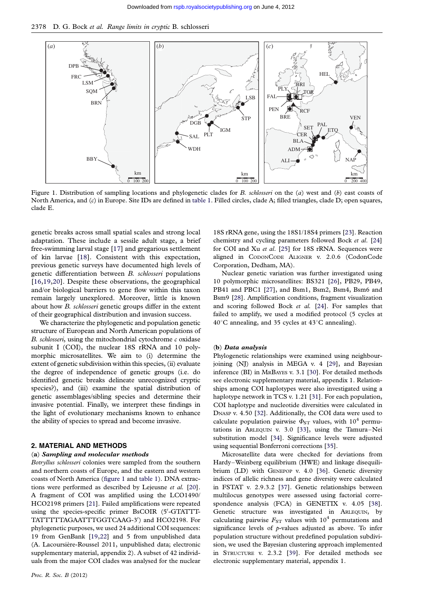<span id="page-1-0"></span>2378 D. G. Bock et al. Range limits in cryptic B. schlosseri



Figure 1. Distribution of sampling locations and phylogenetic clades for B. schlosseri on the (a) west and (b) east coasts of North America, and (c) in Europe. Site IDs are defined in [table 1.](#page-2-0) Filled circles, clade A; filled triangles, clade D; open squares, clade E.

genetic breaks across small spatial scales and strong local adaptation. These include a sessile adult stage, a brief free-swimming larval stage [[17](#page-7-0)] and gregarious settlement of kin larvae [[18](#page-7-0)]. Consistent with this expectation, previous genetic surveys have documented high levels of genetic differentiation between B. schlosseri populations [\[16,19](#page-7-0),[20](#page-7-0)]. Despite these observations, the geographical and/or biological barriers to gene flow within this taxon remain largely unexplored. Moreover, little is known about how B. schlosseri genetic groups differ in the extent of their geographical distribution and invasion success.

We characterize the phylogenetic and population genetic structure of European and North American populations of B. schlosseri, using the mitochondrial cytochrome  $c$  oxidase subunit I (COI), the nuclear 18S rRNA and 10 polymorphic microsatellites. We aim to (i) determine the extent of genetic subdivision within this species, (ii) evaluate the degree of independence of genetic groups (i.e. do identified genetic breaks delineate unrecognized cryptic species?), and (iii) examine the spatial distribution of genetic assemblages/sibling species and determine their invasive potential. Finally, we interpret these findings in the light of evolutionary mechanisms known to enhance the ability of species to spread and become invasive.

#### 2. MATERIAL AND METHODS

#### (a) Sampling and molecular methods

Botryllus schlosseri colonies were sampled from the southern and northern coasts of Europe, and the eastern and western coasts of North America (figure 1 and [table 1](#page-2-0)). DNA extractions were performed as described by Lejeusne et al. [[20\]](#page-7-0). A fragment of COI was amplified using the LCO1490/ HCO2198 primers [\[21](#page-7-0)]. Failed amplifications were repeated using the species-specific primer BsCOIR (5'-GTATTT-TATTTTTAGAATTTGGTCAAG-3') and HCO2198. For phylogenetic purposes, we used 24 additional COI sequences: 19 from GenBank [\[19](#page-7-0),[22\]](#page-7-0) and 5 from unpublished data (A. Lacoursière-Roussel 2011, unpublished data; electronic supplementary material, appendix 2). A subset of 42 individuals from the major COI clades was analysed for the nuclear

18S rRNA gene, using the 18S1/18S4 primers [\[23](#page-7-0)]. Reaction chemistry and cycling parameters followed Bock et al. [\[24](#page-7-0)] for COI and Xu et al. [[25](#page-7-0)] for 18S rRNA. Sequences were aligned in CODONCODE ALIGNER v. 2.0.6 (CodonCode Corporation, Dedham, MA).

Nuclear genetic variation was further investigated using 10 polymorphic microsatellites: BS321 [[26\]](#page-7-0), PB29, PB49, PB41 and PBC1 [[27\]](#page-7-0), and Bsm1, Bsm2, Bsm4, Bsm6 and Bsm9 [[28\]](#page-7-0). Amplification conditions, fragment visualization and scoring followed Bock et al. [\[24](#page-7-0)]. For samples that failed to amplify, we used a modified protocol (5 cycles at  $40^{\circ}$ C annealing, and 35 cycles at  $43^{\circ}$ C annealing).

#### (b) Data analysis

Phylogenetic relationships were examined using neighbourjoining (NJ) analysis in MEGA v. 4 [[29\]](#page-7-0), and Bayesian inference (BI) in MRBAYES v. 3.1 [\[30](#page-7-0)]. For detailed methods see electronic supplementary material, appendix 1. Relationships among COI haplotypes were also investigated using a haplotype network in TCS v. 1.21 [[31](#page-7-0)]. For each population, COI haplotype and nucleotide diversities were calculated in DNASP v. 4.50 [\[32](#page-7-0)]. Additionally, the COI data were used to calculate population pairwise  $\Phi_{ST}$  values, with 10<sup>4</sup> permutations in ARLEQUIN v. 3.0 [\[33](#page-7-0)], using the Tamura–Nei substitution model [\[34](#page-7-0)]. Significance levels were adjusted using sequential Bonferroni corrections [[35](#page-7-0)].

Microsatellite data were checked for deviations from Hardy–Weinberg equilibrium (HWE) and linkage disequilibrium (LD) with GENEPOP v. 4.0 [[36](#page-7-0)]. Genetic diversity indices of allelic richness and gene diversity were calculated in FSTAT v. 2.9.3.2 [[37\]](#page-7-0). Genetic relationships between multilocus genotypes were assessed using factorial correspondence analysis (FCA) in GENETIX v. 4.05 [[38\]](#page-7-0). Genetic structure was investigated in ARLEQUIN, by calculating pairwise  $F_{ST}$  values with  $10<sup>4</sup>$  permutations and significance levels of  $p$ -values adjusted as above. To infer population structure without predefined population subdivision, we used the Bayesian clustering approach implemented in STRUCTURE v. 2.3.2 [[39\]](#page-7-0). For detailed methods see electronic supplementary material, appendix 1.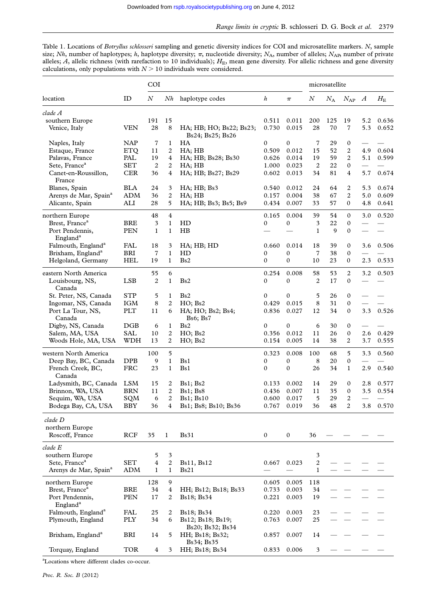<span id="page-2-0"></span>Table 1. Locations of Botryllus schlosseri sampling and genetic diversity indices for COI and microsatellite markers. N, sample size; Nh, number of haplotypes; h, haplotype diversity;  $\pi$ , nucleotide diversity; N<sub>A</sub>, number of alleles; N<sub>AB</sub> number of private alleles;  $A$ , allelic richness (with rarefaction to 10 individuals);  $H<sub>E</sub>$ , mean gene diversity. For allelic richness and gene diversity calculations, only populations with  $N > 10$  individuals were considered.

|                                                     |                          | COI                     |                    |                                              |                  |                  |                  | microsatellite |                                |     |             |  |
|-----------------------------------------------------|--------------------------|-------------------------|--------------------|----------------------------------------------|------------------|------------------|------------------|----------------|--------------------------------|-----|-------------|--|
| location                                            | ID                       | $\boldsymbol{N}$        | Nh                 | haplotype codes                              | $\boldsymbol{h}$ | $\pi$            | $\boldsymbol{N}$ | $N_{\rm A}$    | $N_{AP}$ A                     |     | $H_{\rm E}$ |  |
| clade A                                             |                          |                         |                    |                                              |                  |                  |                  |                |                                |     |             |  |
| southern Europe                                     |                          | 191                     | 15                 |                                              | 0.511            | 0.011            | 200              | 125            | 19                             | 5.2 | 0.636       |  |
| Venice, Italy                                       | <b>VEN</b>               | 28                      | 8                  | HA; HB; HO; Bs22; Bs23;<br>Bs24; Bs25; Bs26  | 0.730            | 0.015            | 28               | 70             | 7                              | 5.3 | 0.652       |  |
| Naples, Italy                                       | <b>NAP</b>               | 7                       | $\mathbf{1}$       | HA                                           | 0                | $\boldsymbol{0}$ | 7                | 29             | 0                              |     |             |  |
| Estaque, France                                     | <b>ETQ</b>               | 11                      | $\overline{c}$     | HA; HB                                       | 0.509            | 0.012            | 15               | 52             | 2                              | 4.9 | 0.604       |  |
| Palavas, France                                     | PAL                      | 19                      | $\overline{4}$     | HA; HB; Bs28; Bs30                           | 0.626            | 0.014            | 19               | 59             | $\overline{c}$                 | 5.1 | 0.599       |  |
| Sete, France <sup>a</sup><br>Canet-en-Roussillon,   | <b>SET</b><br><b>CER</b> | 2<br>36                 | 2<br>4             | HA; HB<br>HA; HB; Bs27; Bs29                 | 1.000<br>0.602   | 0.023<br>0.013   | 2<br>34          | 22<br>81       | 0<br>4                         | 5.7 | 0.674       |  |
| France                                              |                          |                         |                    |                                              |                  |                  |                  |                |                                |     |             |  |
| Blanes, Spain                                       | <b>BLA</b>               | 24                      | 3                  | HA; HB; Bs3                                  | 0.540            | 0.012            | 24               | 64             | 2                              | 5.3 | 0.674       |  |
| Arenys de Mar, Spain <sup>a</sup>                   | <b>ADM</b>               | 36                      | $\overline{2}$     | HA; HB                                       | 0.157            | 0.004            | 38               | 67             | $\overline{c}$                 | 5.0 | 0.609       |  |
| Alicante, Spain                                     | ALI                      | 28                      | 5                  | HA; HB; Bs3; Bs5; Bs9                        | 0.434            | 0.007            | 33               | 57             | $\mathbf{0}$                   | 4.8 | 0.641       |  |
| northern Europe                                     |                          | 48                      | 4                  |                                              | 0.165            | 0.004            | 39               | 54             | 0                              | 3.0 | 0.520       |  |
| Brest, France <sup>a</sup>                          | <b>BRE</b>               | 3                       | $\mathbf{1}$       | HD                                           | $\mathbf{0}$     | $\mathbf{0}$     | 3                | 22             | 0                              |     |             |  |
| Port Pendennis,<br>England <sup>a</sup>             | PEN                      | $\mathbf{1}$            | $\mathbf{1}$       | HB                                           |                  |                  | $\mathbf{1}$     | 9              | $\overline{0}$                 |     |             |  |
| Falmouth, England <sup>a</sup>                      | FAL                      | 18                      | 3                  | HA; HB; HD                                   | 0.660            | 0.014            | 18               | 39             | 0                              | 3.6 | 0.506       |  |
| Brixham, England <sup>a</sup>                       | <b>BRI</b>               | 7                       | 1                  | HD                                           | 0                | $\boldsymbol{0}$ | 7                | 38             | $\mathbf{0}$                   |     |             |  |
| Helgoland, Germany                                  | <b>HEL</b>               | 19                      | $\mathbf{1}$       | Bs2                                          | $\mathbf{0}$     | $\mathbf{0}$     | 10               | 23             | $\Omega$                       | 2.3 | 0.533       |  |
| eastern North America                               |                          | 55                      | 6                  |                                              | 0.254            | 0.008            | 58               | 53             | 2                              | 3.2 | 0.503       |  |
| Louisbourg, NS,                                     | <b>LSB</b>               | 2                       | $\mathbf{1}$       | Bs2                                          | $\mathbf{0}$     | $\boldsymbol{0}$ | $\overline{c}$   | 17             | $\overline{0}$                 |     |             |  |
| Canada                                              |                          |                         |                    |                                              |                  |                  |                  |                |                                |     |             |  |
| St. Peter, NS, Canada                               | <b>STP</b>               | 5                       | 1                  | Bs2                                          | $\mathbf{0}$     | $\mathbf{0}$     | 5                | 26             | 0                              |     |             |  |
| Ingomar, NS, Canada                                 | <b>IGM</b><br>PLT        | 8                       | 2                  | HO; Bs2                                      | 0.429<br>0.836   | 0.015<br>0.027   | $\,8\,$<br>12    | 31<br>34       | $\mathbf{0}$<br>$\overline{0}$ | 3.3 | 0.526       |  |
| Port La Tour, NS,<br>Canada                         |                          | 11                      | 6                  | HA; HO; Bs2; Bs4;<br><b>Bs6</b> ; <b>Bs7</b> |                  |                  |                  |                |                                |     |             |  |
| Digby, NS, Canada                                   | DGB                      | 6                       | 1                  | Bs2                                          | $\mathbf{0}$     | $\boldsymbol{0}$ | 6                | 30             | 0                              |     |             |  |
| Salem, MA, USA                                      | SAL                      | 10                      | 2                  | HO; Bs2                                      | 0.356            | 0.012            | 11               | 26             | $\boldsymbol{0}$               | 2.6 | 0.429       |  |
| Woods Hole, MA, USA                                 | <b>WDH</b>               | 13                      | 2                  | HO; Bs2                                      | 0.154            | 0.005            | 14               | 38             | $\overline{2}$                 | 3.7 | 0.555       |  |
| western North America                               |                          | 100                     | 5                  |                                              | 0.323            | 0.008            | 100              | 68             | 5                              | 3.3 | 0.560       |  |
| Deep Bay, BC, Canada                                | <b>DPB</b>               | 9                       | 1                  | Bs1                                          | 0                | $\boldsymbol{0}$ | 8                | 20             | 0                              |     |             |  |
| French Creek, BC,                                   | <b>FRC</b>               | 23                      | 1                  | Bs1                                          | 0                | $\boldsymbol{0}$ | 26               | 34             | $\mathbf{1}$                   | 2.9 | 0.540       |  |
| Canada<br>Ladysmith, BC, Canada                     | <b>LSM</b>               | 15                      | 2                  | Bs1; Bs2                                     | 0.133            | 0.002            | 14               | 29             | 0                              | 2.8 | 0.577       |  |
| Brinnon, WA, USA                                    | <b>BRN</b>               | 11                      | 2                  | Bs1; Bs8                                     | 0.436            | 0.007            | 11               | 35             | $\mathbf{0}$                   | 3.5 | 0.554       |  |
| Sequim, WA, USA                                     | SQM                      | 6                       | 2                  | Bs1; Bs10                                    | 0.600            | 0.017            | $\overline{5}$   | 29             | 2                              |     |             |  |
| Bodega Bay, CA, USA                                 | <b>BBY</b>               | 36                      | 4                  | Bs1; Bs8; Bs10; Bs36                         | 0.767            | 0.019            | 36               | 48             | 2                              | 3.8 | 0.570       |  |
| clade D                                             |                          |                         |                    |                                              |                  |                  |                  |                |                                |     |             |  |
| northern Europe                                     |                          |                         |                    |                                              |                  |                  |                  |                |                                |     |             |  |
| Roscoff, France                                     | <b>RCF</b>               | 35                      | $\mathbf{1}$       | <b>Bs31</b>                                  | $\mathbf{0}$     | $\boldsymbol{0}$ | 36               |                |                                |     |             |  |
| clade E                                             |                          |                         |                    |                                              |                  |                  |                  |                |                                |     |             |  |
| southern Europe                                     |                          | 5                       | 3                  |                                              |                  |                  | 3                |                |                                |     |             |  |
| Sete, France <sup>a</sup>                           | <b>SET</b>               | $\overline{\mathbf{4}}$ | $\boldsymbol{2}$   | Bs11, Bs12                                   | 0.667            | 0.023            | $\overline{c}$   |                |                                |     |             |  |
| Arenys de Mar, Spain <sup>a</sup>                   | ADM                      | $\mathbf{1}$            | $\mathbf{1}$       | Bs21                                         |                  |                  | $\mathbf{1}$     |                |                                |     |             |  |
| northern Europe                                     |                          | 128                     | 9                  |                                              | 0.605            | 0.005            | 118              |                |                                |     |             |  |
| Brest, France <sup>a</sup>                          | <b>BRE</b>               | 34                      | $\overline{\bf 4}$ | HH; Bs12; Bs18; Bs33                         | 0.733            | 0.003            | 34               |                |                                |     |             |  |
| Port Pendennis,                                     | PEN                      | 17                      | 2                  | Bs18; Bs34                                   | 0.221            | 0.003            | 19               |                |                                |     |             |  |
| England <sup>a</sup>                                |                          |                         |                    |                                              |                  |                  |                  |                |                                |     |             |  |
| Falmouth, England <sup>a</sup><br>Plymouth, England | <b>FAL</b><br>PLY        | 25<br>34                | 2<br>6             | Bs18; Bs34<br>Bs12; Bs18; Bs19;              | 0.220<br>0.763   | 0.003<br>0.007   | 23<br>25         |                |                                |     |             |  |
|                                                     |                          |                         |                    | Bs20; Bs32; Bs34                             |                  |                  |                  |                |                                |     |             |  |
| Brixham, England <sup>a</sup>                       | BRI                      | 14                      | 5                  | HH; Bs18; Bs32;                              | 0.857            | 0.007            | 14               |                |                                |     |             |  |
|                                                     |                          |                         |                    | Bs34; Bs35                                   |                  |                  |                  |                |                                |     |             |  |
| Torquay, England                                    | <b>TOR</b>               | 4                       | 3                  | HH; Bs18; Bs34                               | 0.833            | 0.006            | 3                |                |                                |     |             |  |

a Locations where different clades co-occur.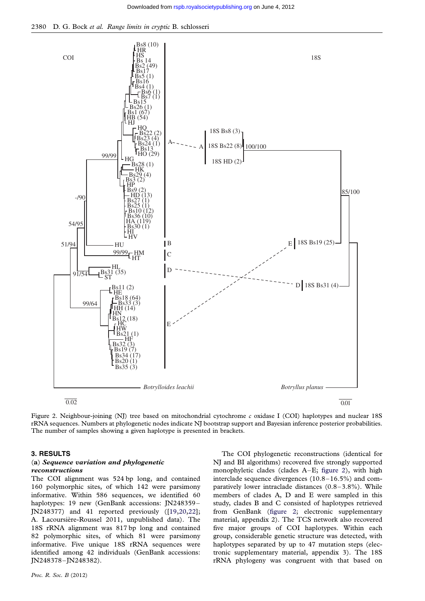<span id="page-3-0"></span>2380 D. G. Bock et al. Range limits in cryptic B. schlosseri



Figure 2. Neighbour-joining (NJ) tree based on mitochondrial cytochrome  $c$  oxidase I (COI) haplotypes and nuclear 18S rRNA sequences. Numbers at phylogenetic nodes indicate NJ bootstrap support and Bayesian inference posterior probabilities. The number of samples showing a given haplotype is presented in brackets.

## 3. RESULTS

## (a) Sequence variation and phylogenetic reconstructions

The COI alignment was 524 bp long, and contained 160 polymorphic sites, of which 142 were parsimony informative. Within 586 sequences, we identified 60 haplotypes: 19 new (GenBank accessions: JN248359-JN248377) and 41 reported previously ([\[19,20](#page-7-0),[22](#page-7-0)]; A. Lacoursière-Roussel 2011, unpublished data). The 18S rRNA alignment was 817 bp long and contained 82 polymorphic sites, of which 81 were parsimony informative. Five unique 18S rRNA sequences were identified among 42 individuals (GenBank accessions: JN248378 – JN248382).

The COI phylogenetic reconstructions (identical for NJ and BI algorithms) recovered five strongly supported monophyletic clades (clades A–E; figure 2), with high interclade sequence divergences (10.8 –16.5%) and comparatively lower intraclade distances (0.8–3.8%). While members of clades A, D and E were sampled in this study, clades B and C consisted of haplotypes retrieved from GenBank (figure 2; electronic supplementary material, appendix 2). The TCS network also recovered five major groups of COI haplotypes. Within each group, considerable genetic structure was detected, with haplotypes separated by up to 47 mutation steps (electronic supplementary material, appendix 3). The 18S rRNA phylogeny was congruent with that based on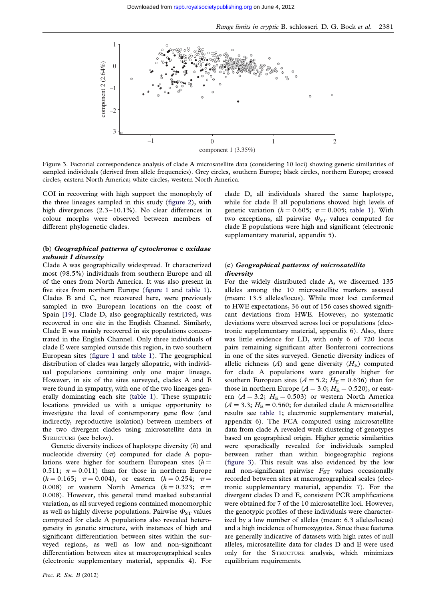<span id="page-4-0"></span>

Figure 3. Factorial correspondence analysis of clade A microsatellite data (considering 10 loci) showing genetic similarities of sampled individuals (derived from allele frequencies). Grey circles, southern Europe; black circles, northern Europe; crossed circles, eastern North America; white circles, western North America.

COI in recovering with high support the monophyly of the three lineages sampled in this study [\(figure 2](#page-3-0)), with high divergences (2.3–10.1%). No clear differences in colour morphs were observed between members of different phylogenetic clades.

# (b) Geographical patterns of cytochrome c oxidase subunit I diversity

Clade A was geographically widespread. It characterized most (98.5%) individuals from southern Europe and all of the ones from North America. It was also present in five sites from northern Europe [\(figure 1](#page-1-0) and [table 1](#page-2-0)). Clades B and C, not recovered here, were previously sampled in two European locations on the coast of Spain [\[19\]](#page-7-0). Clade D, also geographically restricted, was recovered in one site in the English Channel. Similarly, Clade E was mainly recovered in six populations concentrated in the English Channel. Only three individuals of clade E were sampled outside this region, in two southern European sites ([figure 1](#page-1-0) and [table 1\)](#page-2-0). The geographical distribution of clades was largely allopatric, with individual populations containing only one major lineage. However, in six of the sites surveyed, clades A and E were found in sympatry, with one of the two lineages generally dominating each site ([table 1\)](#page-2-0). These sympatric locations provided us with a unique opportunity to investigate the level of contemporary gene flow (and indirectly, reproductive isolation) between members of the two divergent clades using microsatellite data in STRUCTURE (see below).

Genetic diversity indices of haplotype diversity (h) and nucleotide diversity  $(\pi)$  computed for clade A populations were higher for southern European sites  $(h =$ 0.511;  $\pi$  = 0.011) than for those in northern Europe  $(h = 0.165; \; \pi = 0.004)$ , or eastern  $(h = 0.254; \; \pi = 0.004)$ 0.008) or western North America  $(h = 0.323; \pi =$ 0.008). However, this general trend masked substantial variation, as all surveyed regions contained monomorphic as well as highly diverse populations. Pairwise  $\Phi_{ST}$  values computed for clade A populations also revealed heterogeneity in genetic structure, with instances of high and significant differentiation between sites within the surveyed regions, as well as low and non-significant differentiation between sites at macrogeographical scales (electronic supplementary material, appendix 4). For clade D, all individuals shared the same haplotype, while for clade E all populations showed high levels of genetic variation ( $h = 0.605$ ;  $\pi = 0.005$ ; [table 1](#page-2-0)). With two exceptions, all pairwise  $\Phi_{ST}$  values computed for clade E populations were high and significant (electronic supplementary material, appendix 5).

# (c) Geographical patterns of microsatellite diversity

For the widely distributed clade A, we discerned 135 alleles among the 10 microsatellite markers assayed (mean: 13.5 alleles/locus). While most loci conformed to HWE expectations, 36 out of 156 cases showed significant deviations from HWE. However, no systematic deviations were observed across loci or populations (electronic supplementary material, appendix 6). Also, there was little evidence for LD, with only 6 of 720 locus pairs remaining significant after Bonferroni corrections in one of the sites surveyed. Genetic diversity indices of allelic richness (A) and gene diversity ( $H<sub>E</sub>$ ) computed for clade A populations were generally higher for southern European sites ( $A = 5.2$ ;  $H<sub>E</sub> = 0.636$ ) than for those in northern Europe ( $A = 3.0$ ;  $H<sub>E</sub> = 0.520$ ), or eastern ( $A = 3.2$ ;  $H<sub>E</sub> = 0.503$ ) or western North America  $(A = 3.3; H<sub>E</sub> = 0.560;$  for detailed clade A microsatellite results see [table 1](#page-2-0); electronic supplementary material, appendix 6). The FCA computed using microsatellite data from clade A revealed weak clustering of genotypes based on geographical origin. Higher genetic similarities were sporadically revealed for individuals sampled between rather than within biogeographic regions (figure 3). This result was also evidenced by the low and non-significant pairwise  $F_{ST}$  values occasionally recorded between sites at macrogeographical scales (electronic supplementary material, appendix 7). For the divergent clades D and E, consistent PCR amplifications were obtained for 7 of the 10 microsatellite loci. However, the genotypic profiles of these individuals were characterized by a low number of alleles (mean: 6.3 alleles/locus) and a high incidence of homozygotes. Since these features are generally indicative of datasets with high rates of null alleles, microsatellite data for clades D and E were used only for the STRUCTURE analysis, which minimizes equilibrium requirements.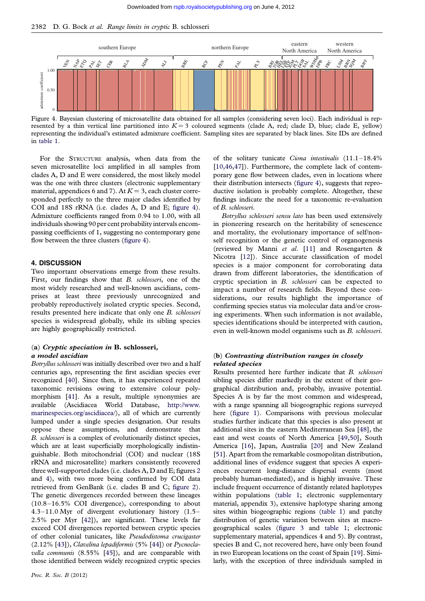



Figure 4. Bayesian clustering of microsatellite data obtained for all samples (considering seven loci). Each individual is represented by a thin vertical line partitioned into  $K = 3$  coloured segments (clade A, red; clade D, blue; clade E, yellow) representing the individual's estimated admixture coefficient. Sampling sites are separated by black lines. Site IDs are defined in [table 1](#page-2-0).

For the STRUCTURE analysis, when data from the seven microsatellite loci amplified in all samples from clades A, D and E were considered, the most likely model was the one with three clusters (electronic supplementary material, appendices 6 and 7). At  $K = 3$ , each cluster corresponded perfectly to the three major clades identified by COI and 18S rRNA (i.e. clades A, D and E; figure 4). Admixture coefficients ranged from 0.94 to 1.00, with all individuals showing 90 per cent probability intervals encompassing coefficients of 1, suggesting no contemporary gene flow between the three clusters (figure 4).

# 4. DISCUSSION

Two important observations emerge from these results. First, our findings show that B. schlosseri, one of the most widely researched and well-known ascidians, comprises at least three previously unrecognized and probably reproductively isolated cryptic species. Second, results presented here indicate that only one B. schlosseri species is widespread globally, while its sibling species are highly geographically restricted.

## (a) Cryptic speciation in B. schlosseri, a model ascidian

Botryllus schlosseri was initially described over two and a half centuries ago, representing the first ascidian species ever recognized [[40](#page-7-0)]. Since then, it has experienced repeated taxonomic revisions owing to extensive colour polymorphism [\[41](#page-7-0)]. As a result, multiple synonymies are available (Ascidiacea World Database, [http://www.](http://www.marinespecies.org/ascidiacea/) [marinespecies.org/ascidiacea/\)](http://www.marinespecies.org/ascidiacea/), all of which are currently lumped under a single species designation. Our results oppose these assumptions, and demonstrate that B. schlosseri is a complex of evolutionarily distinct species, which are at least superficially morphologically indistinguishable. Both mitochondrial (COI) and nuclear (18S rRNA and microsatellite) markers consistently recovered three well-supported clades (i.e. clades A, D and E; figures [2](#page-3-0) and 4), with two more being confirmed by COI data retrieved from GenBank (i.e. clades B and C; [figure 2](#page-3-0)). The genetic divergences recorded between these lineages (10.8–16.5% COI divergence), corresponding to about 4.3–11.0 Myr of divergent evolutionary history (1.5– 2.5% per Myr [\[42\]](#page-7-0)), are significant. These levels far exceed COI divergences reported between cryptic species of other colonial tunicates, like Pseudodistoma crucigaster (2.12% [\[43](#page-8-0)]), Clavelina lepadiformis (5% [[44](#page-8-0)]) or Pycnoclavella communis (8.55% [\[45](#page-8-0)]), and are comparable with those identified between widely recognized cryptic species

of the solitary tunicate Ciona intestinalis (11.1–18.4% [\[10,](#page-7-0)[46,47\]](#page-8-0)). Furthermore, the complete lack of contemporary gene flow between clades, even in locations where their distribution intersects (figure 4), suggests that reproductive isolation is probably complete. Altogether, these findings indicate the need for a taxonomic re-evaluation of B. schlosseri.

Botryllus schlosseri sensu lato has been used extensively in pioneering research on the heritability of senescence and mortality, the evolutionary importance of self/nonself recognition or the genetic control of organogenesis (reviewed by Manni et al. [\[11\]](#page-7-0) and Rosengarten & Nicotra [\[12\]](#page-7-0)). Since accurate classification of model species is a major component for corroborating data drawn from different laboratories, the identification of cryptic speciation in B. schlosseri can be expected to impact a number of research fields. Beyond these considerations, our results highlight the importance of confirming species status via molecular data and/or crossing experiments. When such information is not available, species identifications should be interpreted with caution, even in well-known model organisms such as B. schlosseri.

## (b) Contrasting distribution ranges in closely related species

Results presented here further indicate that B. schlosseri sibling species differ markedly in the extent of their geographical distribution and, probably, invasive potential. Species A is by far the most common and widespread, with a range spanning all biogeographic regions surveyed here ([figure 1](#page-1-0)). Comparisons with previous molecular studies further indicate that this species is also present at additional sites in the eastern Mediterranean Sea [[48\]](#page-8-0), the east and west coasts of North America [[49](#page-8-0),[50](#page-8-0)], South America [[16\]](#page-7-0), Japan, Australia [\[20](#page-7-0)] and New Zealand [\[51\]](#page-8-0). Apart from the remarkable cosmopolitan distribution, additional lines of evidence suggest that species A experiences recurrent long-distance dispersal events (most probably human-mediated), and is highly invasive. These include frequent occurrence of distantly related haplotypes within populations ([table 1](#page-2-0); electronic supplementary material, appendix 3), extensive haplotype sharing among sites within biogeographic regions ([table 1](#page-2-0)) and patchy distribution of genetic variation between sites at macrogeographical scales [\(figure 3](#page-4-0) and [table 1;](#page-2-0) electronic supplementary material, appendices 4 and 5). By contrast, species B and C, not recovered here, have only been found in two European locations on the coast of Spain [\[19](#page-7-0)]. Similarly, with the exception of three individuals sampled in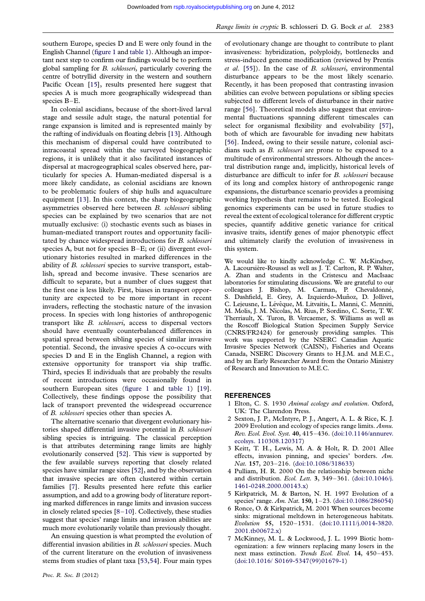<span id="page-6-0"></span>southern Europe, species D and E were only found in the English Channel [\(figure 1](#page-1-0) and [table 1\)](#page-2-0). Although an important next step to confirm our findings would be to perform global sampling for B. schlosseri, particularly covering the centre of botryllid diversity in the western and southern Pacific Ocean [\[15\]](#page-7-0), results presented here suggest that species A is much more geographically widespread than species B–E.

In colonial ascidians, because of the short-lived larval stage and sessile adult stage, the natural potential for range expansion is limited and is represented mainly by the rafting of individuals on floating debris [[13](#page-7-0)]. Although this mechanism of dispersal could have contributed to intracoastal spread within the surveyed biogeographic regions, it is unlikely that it also facilitated instances of dispersal at macrogeographical scales observed here, particularly for species A. Human-mediated dispersal is a more likely candidate, as colonial ascidians are known to be problematic foulers of ship hulls and aquaculture equipment [[13](#page-7-0)]. In this context, the sharp biogeographic asymmetries observed here between B. schlosseri sibling species can be explained by two scenarios that are not mutually exclusive: (i) stochastic events such as biases in human-mediated transport routes and opportunity facilitated by chance widespread introductions for B. schlosseri species A, but not for species  $B - E$ ; or (ii) divergent evolutionary histories resulted in marked differences in the ability of B. schlosseri species to survive transport, establish, spread and become invasive. These scenarios are difficult to separate, but a number of clues suggest that the first one is less likely. First, biases in transport opportunity are expected to be more important in recent invaders, reflecting the stochastic nature of the invasion process. In species with long histories of anthropogenic transport like B. schlosseri, access to dispersal vectors should have eventually counterbalanced differences in spatial spread between sibling species of similar invasive potential. Second, the invasive species A co-occurs with species D and E in the English Channel, a region with extensive opportunity for transport via ship traffic. Third, species E individuals that are probably the results of recent introductions were occasionally found in southern European sites ([figure 1](#page-1-0) and [table 1\)](#page-2-0) [[19](#page-7-0)]. Collectively, these findings oppose the possibility that lack of transport prevented the widespread occurrence of B. schlosseri species other than species A.

The alternative scenario that divergent evolutionary histories shaped differential invasive potential in B. schlosseri sibling species is intriguing. The classical perception is that attributes determining range limits are highly evolutionarily conserved [\[52\]](#page-8-0). This view is supported by the few available surveys reporting that closely related species have similar range sizes [\[52\]](#page-8-0), and by the observation that invasive species are often clustered within certain families [7]. Results presented here refute this earlier assumption, and add to a growing body of literature reporting marked differences in range limits and invasion success in closely related species [\[8](#page-7-0)–[10](#page-7-0)]. Collectively, these studies suggest that species' range limits and invasion abilities are much more evolutionarily volatile than previously thought.

An ensuing question is what prompted the evolution of differential invasion abilities in B. schlosseri species. Much of the current literature on the evolution of invasiveness stems from studies of plant taxa [\[53,54](#page-8-0)]. Four main types of evolutionary change are thought to contribute to plant invasiveness: hybridization, polyploidy, bottlenecks and stress-induced genome modification (reviewed by Prentis et al. [\[55\]](#page-8-0)). In the case of B. schlosseri, environmental disturbance appears to be the most likely scenario. Recently, it has been proposed that contrasting invasion abilities can evolve between populations or sibling species subjected to different levels of disturbance in their native range [[56](#page-8-0)]. Theoretical models also suggest that environmental fluctuations spanning different timescales can select for organismal flexibility and evolvability [[57](#page-8-0)], both of which are favourable for invading new habitats [\[56\]](#page-8-0). Indeed, owing to their sessile nature, colonial ascidians such as B. schlosseri are prone to be exposed to a multitude of environmental stressors. Although the ancestral distribution range and, implicitly, historical levels of disturbance are difficult to infer for B. schlosseri because of its long and complex history of anthropogenic range expansions, the disturbance scenario provides a promising working hypothesis that remains to be tested. Ecological genomics experiments can be used in future studies to reveal the extent of ecological tolerance for different cryptic species, quantify additive genetic variance for critical invasive traits, identify genes of major phenotypic effect and ultimately clarify the evolution of invasiveness in this system.

We would like to kindly acknowledge C. W. McKindsey, A. Lacoursière-Roussel as well as J. T. Carlton, R. P. Walter, A. Zhan and students in the Cristescu and MacIsaac laboratories for stimulating discussions. We are grateful to our colleagues J. Bishop, M. Carman, P. Chevaldonné, S. Dashfield, E. Grey, A. Izquierdo-Muñoz, D. Jollivet, C. Lejeusne, L. Lévêque, M. Litvaitis, L. Manni, C. Menniti, M. Molis, J. M. Nicolas, M. Rius, P. Sordino, C. Sorte, T. W. Therriault, X. Turon, B. Vercaemer, S. Williams as well as the Roscoff Biological Station Specimen Supply Service (CNRS/FR2424) for generously providing samples. This work was supported by the NSERC Canadian Aquatic Invasive Species Network (CAISN), Fisheries and Oceans Canada, NSERC Discovery Grants to H.J.M. and M.E.C., and by an Early Researcher Award from the Ontario Ministry of Research and Innovation to M.E.C.

## **REFERENCES**

- 1 Elton, C. S. 1930 Animal ecology and evolution. Oxford, UK: The Clarendon Press.
- 2 Sexton, J. P., McIntyre, P. J., Angert, A. L. & Rice, K. J. 2009 Evolution and ecology of species range limits. Annu. Rev. Ecol. Evol. Syst. 40, 415 –436. ([doi:10.1146/annurev.](http://dx.doi.org/10.1146/annurev.ecolsys. 110308.120317) [ecolsys. 110308.120317](http://dx.doi.org/10.1146/annurev.ecolsys. 110308.120317))
- 3 Keitt, T. H., Lewis, M. A. & Holt, R. D. 2001 Allee effects, invasion pinning, and species' borders. Am. Nat. 157, 203–216. ([doi:10.1086/318633](http://dx.doi.org/10.1086/318633))
- 4 Pulliam, H. R. 2000 On the relationship between niche and distribution. Ecol. Lett. 3, 349–361. ([doi:10.1046/j.](http://dx.doi.org/10.1046/j.1461-0248.2000.00143.x) [1461-0248.2000.00143.x\)](http://dx.doi.org/10.1046/j.1461-0248.2000.00143.x)
- 5 Kirkpatrick, M. & Barton, N. H. 1997 Evolution of a species' range. Am. Nat. 150, 1–23. ([doi:10.1086/286054](http://dx.doi.org/10.1086/286054))
- 6 Ronce, O. & Kirkpatrick, M. 2001 When sources become sinks: migrational meltdown in heterogeneous habitats. Evolution 55, 1520–1531. ([doi:10.1111/j.0014-3820.](http://dx.doi.org/10.1111/j.0014-3820.2001.tb00672.x) [2001.tb00672.x\)](http://dx.doi.org/10.1111/j.0014-3820.2001.tb00672.x)
- 7 McKinney, M. L. & Lockwood, J. L. 1999 Biotic homogenization: a few winners replacing many losers in the next mass extinction. Trends Ecol. Evol. 14, 450–453. ([doi:10.1016/ S0169-5347\(99\)01679-1](http://dx.doi.org/10.1016/ S0169-5347(99)01679-1))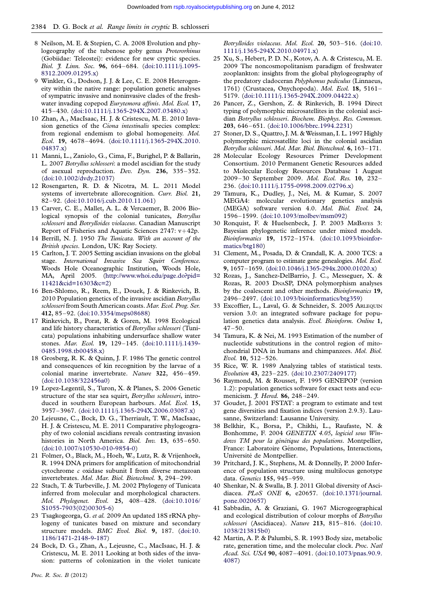- <span id="page-7-0"></span>8 Neilson, M. E. & Stepien, C. A. 2008 Evolution and phylogeography of the tubenose goby genus Proterorhinus (Gobiidae: Teleostei): evidence for new cryptic species. Biol. J. Linn. Soc. 96, 664-684. ([doi:10.1111/j.1095-](http://dx.doi.org/10.1111/j.1095-8312.2009.01295.x) [8312.2009.01295.x\)](http://dx.doi.org/10.1111/j.1095-8312.2009.01295.x)
- 9 Winkler, G., Dodson, J. J. & Lee, C. E. 2008 Heterogeneity within the native range: population genetic analyses of sympatric invasive and noninvasive clades of the freshwater invading copepod Eurytemora affinis. Mol. Ecol. 17, 415–430. ([doi:10.1111/j.1365-294X.2007.03480.x\)](http://dx.doi.org/10.1111/j.1365-294X.2007.03480.x)
- 10 Zhan, A., MacIsaac, H. J. & Cristescu, M. E. 2010 Invasion genetics of the Ciona intestinalis species complex: from regional endemism to global homogeneity. Mol. Ecol. 19, 4678–4694. ([doi:10.1111/j.1365-294X.2010.](http://dx.doi.org/10.1111/j.1365-294X.2010.04837.x) [04837.x](http://dx.doi.org/10.1111/j.1365-294X.2010.04837.x))
- 11 Manni, L., Zaniolo, G., Cima, F., Burighel, P. & Ballarin, L. 2007 Botryllus schlosseri: a model ascidian for the study of asexual reproduction. Dev. Dyn. 236, 335-352. ([doi:10.1002/dvdy.21037](http://dx.doi.org/10.1002/dvdy.21037))
- 12 Rosengarten, R. D. & Nicotra, M. L. 2011 Model systems of invertebrate allorecognition. Curr. Biol. 21, 82–92. [\(doi:10.1016/j.cub.2010.11.061](http://dx.doi.org/10.1016/j.cub.2010.11.061))
- 13 Carver, C. E., Mallet, A. L. & Vercaemer, B. 2006 Biological synopsis of the colonial tunicates, Botryllus schlosseri and Botrylloides violaceus. Canadian Manuscript Report of Fisheries and Aquatic Sciences 2747:  $v+42p$ .
- 14 Berrill, N. J. 1950 The Tunicata. With an account of the British species. London, UK: Ray Society.
- 15 Carlton, J. T. 2005 Setting ascidian invasions on the global stage. International Invasive Sea Squirt Conference. Woods Hole Oceanographic Institution, Woods Hole, MA, April 2005. ([http://www.whoi.edu/page.do?pid=](http://www.whoi.edu/page.do?pid=11421&cid=16303&c=2) [11421&cid=16303&c=2\)](http://www.whoi.edu/page.do?pid=11421&cid=16303&c=2)
- 16 Ben-Shlomo, R., Reem, E., Douek, J. & Rinkevich, B. 2010 Population genetics of the invasive ascidian Botryllus schlosseri from South American coasts. Mar. Ecol. Prog. Ser. 412, 85–92. ([doi:10.3354/meps08688](http://dx.doi.org/10.3354/meps08688))
- 17 Rinkevich, B., Porat, R. & Goren, M. 1998 Ecological and life history characteristics of Botryllus schlosseri (Tunicata) populations inhabiting undersurface shallow water stones. Mar. Ecol. 19, 129–145. ([doi:10.1111/j.1439-](http://dx.doi.org/10.1111/j.1439-0485.1998.tb00458.x) [0485.1998.tb00458.x](http://dx.doi.org/10.1111/j.1439-0485.1998.tb00458.x))
- 18 Grosberg, R. K. & Quinn, J. F. 1986 The genetic control and consequences of kin recognition by the larvae of a colonial marine invertebrate. Nature 322, 456-459. ([doi:10.1038/322456a0\)](http://dx.doi.org/10.1038/322456a0)
- 19 Lopez-Legentil, S., Turon, X. & Planes, S. 2006 Genetic structure of the star sea squirt, Botryllus schlosseri, introduced in southern European harbours. Mol. Ecol. 15, 3957–3967. [\(doi:10.1111/j.1365-294X.2006.03087.x](http://dx.doi.org/10.1111/j.1365-294X.2006.03087.x))
- 20 Lejeusne, C., Bock, D. G., Therriault, T. W., MacIsaac, H. J. & Cristescu, M. E. 2011 Comparative phylogeography of two colonial ascidians reveals contrasting invasion histories in North America. Biol. Inv. 13, 635-650. ([doi:10.1007/s10530-010-9854-0\)](http://dx.doi.org/10.1007/s10530-010-9854-0)
- 21 Folmer, O., Black, M., Hoeh, W., Lutz, R. & Vrijenhoek, R. 1994 DNA primers for amplification of mitochondrial cytochrome c oxidase subunit I from diverse metazoan invertebrates. Mol. Mar. Biol. Biotechnol. 3, 294 –299.
- 22 Stach, T. & Turbeville, J. M. 2002 Phylogeny of Tunicata inferred from molecular and morphological characters. Mol. Phylogenet. Evol. 25, 408–428. ([doi:10.1016/](http://dx.doi.org/10.1016/S1055-7903(02)00305-6) [S1055-7903\(02\)00305-6](http://dx.doi.org/10.1016/S1055-7903(02)00305-6))
- 23 Tsagkogeorga, G. et al. 2009 An updated 18S rRNA phylogeny of tunicates based on mixture and secondary structure models. BMC Evol. Biol. 9, 187. [\(doi:10.](http://dx.doi.org/10.1186/1471-2148-9-187) [1186/1471-2148-9-187\)](http://dx.doi.org/10.1186/1471-2148-9-187)
- 24 Bock, D. G., Zhan, A., Lejeusne, C., MacIsaac, H. J. & Cristescu, M. E. 2011 Looking at both sides of the invasion: patterns of colonization in the violet tunicate

Botrylloides violaceus. Mol. Ecol. 20, 503-516. [\(doi:10.](http://dx.doi.org/10.1111/j.1365-294X.2010.04971.x) [1111/j.1365-294X.2010.04971.x\)](http://dx.doi.org/10.1111/j.1365-294X.2010.04971.x)

- 25 Xu, S., Hebert, P. D. N., Kotov, A. A. & Cristescu, M. E. 2009 The noncosmopolitanism paradigm of freshwater zooplankton: insights from the global phylogeography of the predatory cladoceran Polyphemus pediculus (Linnaeus, 1761) (Crustacea, Onychopoda). Mol. Ecol. 18, 5161– 5179. [\(doi:10.1111/j.1365-294X.2009.04422.x](http://dx.doi.org/10.1111/j.1365-294X.2009.04422.x))
- 26 Pancer, Z., Gershon, Z. & Rinkevich, B. 1994 Direct typing of polymorphic microsatellites in the colonial ascidian Botryllus schlosseri. Biochem. Biophys. Res. Commun. 203, 646 –651. [\(doi:10.1006/bbrc.1994.2231\)](http://dx.doi.org/10.1006/bbrc.1994.2231)
- 27 Stoner, D. S., Quattro, J. M. & Weissman, I. L. 1997 Highly polymorphic microsatellite loci in the colonial ascidian Botryllus schlosseri. Mol. Mar. Biol. Biotechnol. 6, 163–171.
- 28 Molecular Ecology Resources Primer Development Consortium. 2010 Permanent Genetic Resources added to Molecular Ecology Resources Database 1 August 2009–30 September 2009. Mol. Ecol. Res. 10, 232-236. [\(doi:10.1111/j.1755-0998.2009.02796.x](http://dx.doi.org/10.1111/j.1755-0998.2009.02796.x))
- 29 Tamura, K., Dudley, J., Nei, M. & Kumar, S. 2007 MEGA4: molecular evolutionary genetics analysis (MEGA) software version 4.0. Mol. Biol. Evol. 24, 1596–1599. [\(doi:10.1093/molbev/msm092](http://dx.doi.org/10.1093/molbev/msm092))
- 30 Ronquist, F. & Huelsenbeck, J. P. 2003 MRBAYES 3: Bayesian phylogenetic inference under mixed models. Bioinformatics 19, 1572–1574. [\(doi:10.1093/bioinfor](http://dx.doi.org/10.1093/bioinformatics/btg180)[matics/btg180](http://dx.doi.org/10.1093/bioinformatics/btg180))
- 31 Clement, M., Posada, D. & Crandall, K. A. 2000 TCS: a computer program to estimate gene genealogies. Mol. Ecol. 9, 1657–1659. ([doi:10.1046/j.1365-294x.2000.01020.x\)](http://dx.doi.org/10.1046/j.1365-294x.2000.01020.x)
- 32 Rozas, J., Sanchez-DelBarrio, J. C., Messeguer, X. & Rozas, R. 2003 DNASP, DNA polymorphism analyses by the coalescent and other methods. Bioinformatics 19, 2496–2497. [\(doi:10.1093/bioinformatics/btg359\)](http://dx.doi.org/10.1093/bioinformatics/btg359)
- 33 Excoffier, L., Laval, G. & Schneider, S. 2005 ARLEQUIN version 3.0: an integrated software package for population genetics data analysis. Evol. Bioinform. Online 1, 47–50.
- 34 Tamura, K. & Nei, M. 1993 Estimation of the number of nucleotide substitutions in the control region of mitochondrial DNA in humans and chimpanzees. Mol. Biol. Evol. 10, 512-526.
- 35 Rice, W. R. 1989 Analyzing tables of statistical tests. Evolution 43, 223–225. ([doi:10.2307/2409177](http://dx.doi.org/10.2307/2409177))
- 36 Raymond, M. & Rousset, F. 1995 GENEPOP (version 1.2): population genetics software for exact tests and ecumenicism. *J. Hered.* **86**, 248-249.
- 37 Goudet, J. 2001 FSTAT: a program to estimate and test gene diversities and fixation indices (version 2.9.3). Lausanne, Switzerland: Lausanne University.
- 38 Belkhir, K., Borsa, P., Chikhi, L., Raufaste, N. & Bonhomme, F. 2004 GENETIX 4.05, logiciel sous Windows TM pour la génétique des populations. Montpellier, France: Laboratoire Génome, Populations, Interactions, Université de Montpellier.
- 39 Pritchard, J. K., Stephens, M. & Donnelly, P. 2000 Inference of population structure using multilocus genotype data. Genetics 155, 945-959.
- 40 Shenkar, N. & Swalla, B. J. 2011 Global diversity of Ascidiacea. PLoS ONE 6, e20657. [\(doi:10.1371/journal.](http://dx.doi.org/10.1371/journal.pone.0020657) [pone.0020657\)](http://dx.doi.org/10.1371/journal.pone.0020657)
- 41 Sabbadin, A. & Graziani, G. 1967 Microgeographical and ecological distribution of colour morphs of Botryllus schlosseri (Ascidiacea). Nature 213, 815-816. [\(doi:10.](http://dx.doi.org/10.1038/213815b0) [1038/213815b0](http://dx.doi.org/10.1038/213815b0))
- 42 Martin, A. P. & Palumbi, S. R. 1993 Body size, metabolic rate, generation time, and the molecular clock. Proc. Natl Acad. Sci. USA 90, 4087 –4091. ([doi:10.1073/pnas.90.9.](http://dx.doi.org/10.1073/pnas.90.9.4087) [4087](http://dx.doi.org/10.1073/pnas.90.9.4087))